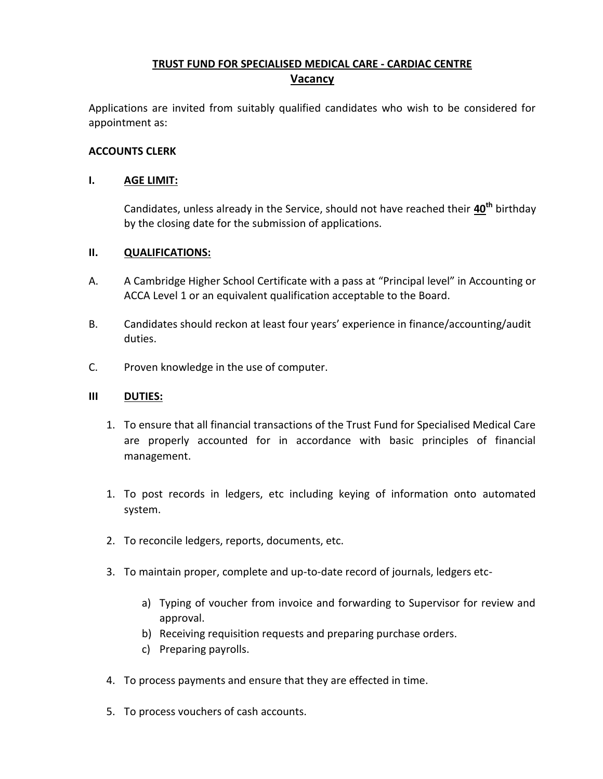# **TRUST FUND FOR SPECIALISED MEDICAL CARE - CARDIAC CENTRE Vacancy**

Applications are invited from suitably qualified candidates who wish to be considered for appointment as:

### **ACCOUNTS CLERK**

### **I. AGE LIMIT:**

Candidates, unless already in the Service, should not have reached their **40th** birthday by the closing date for the submission of applications.

### **II. QUALIFICATIONS:**

- A. A Cambridge Higher School Certificate with a pass at "Principal level" in Accounting or ACCA Level 1 or an equivalent qualification acceptable to the Board.
- B. Candidates should reckon at least four years' experience in finance/accounting/audit duties.
- C. Proven knowledge in the use of computer.

### **III DUTIES:**

- 1. To ensure that all financial transactions of the Trust Fund for Specialised Medical Care are properly accounted for in accordance with basic principles of financial management.
- 1. To post records in ledgers, etc including keying of information onto automated system.
- 2. To reconcile ledgers, reports, documents, etc.
- 3. To maintain proper, complete and up-to-date record of journals, ledgers etc
	- a) Typing of voucher from invoice and forwarding to Supervisor for review and approval.
	- b) Receiving requisition requests and preparing purchase orders.
	- c) Preparing payrolls.
- 4. To process payments and ensure that they are effected in time.
- 5. To process vouchers of cash accounts.